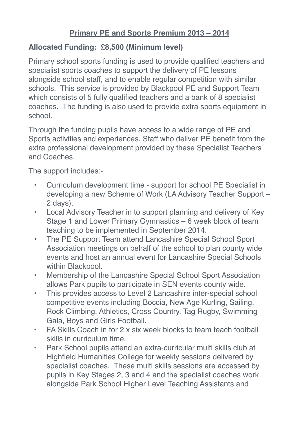## **Primary PE and Sports Premium 2013 – 2014**

## **Allocated Funding: £8,500 (Minimum level)**

Primary school sports funding is used to provide qualified teachers and specialist sports coaches to support the delivery of PE lessons alongside school staff, and to enable regular competition with similar schools. This service is provided by Blackpool PE and Support Team which consists of 5 fully qualified teachers and a bank of 8 specialist coaches. The funding is also used to provide extra sports equipment in school.

Through the funding pupils have access to a wide range of PE and Sports activities and experiences. Staff who deliver PE benefit from the extra professional development provided by these Specialist Teachers and Coaches.

The support includes:-

- Curriculum development time support for school PE Specialist in developing a new Scheme of Work (LA Advisory Teacher Support – 2 days).
- Local Advisory Teacher in to support planning and delivery of Key Stage 1 and Lower Primary Gymnastics – 6 week block of team teaching to be implemented in September 2014.
- The PE Support Team attend Lancashire Special School Sport Association meetings on behalf of the school to plan county wide events and host an annual event for Lancashire Special Schools within Blackpool.
- Membership of the Lancashire Special School Sport Association allows Park pupils to participate in SEN events county wide.
- This provides access to Level 2 Lancashire inter-special school competitive events including Boccia, New Age Kurling, Sailing, Rock Climbing, Athletics, Cross Country, Tag Rugby, Swimming Gala, Boys and Girls Football.
- FA Skills Coach in for 2 x six week blocks to team teach football skills in curriculum time.
- Park School pupils attend an extra-curricular multi skills club at Highfield Humanities College for weekly sessions delivered by specialist coaches. These multi skills sessions are accessed by pupils in Key Stages 2, 3 and 4 and the specialist coaches work alongside Park School Higher Level Teaching Assistants and